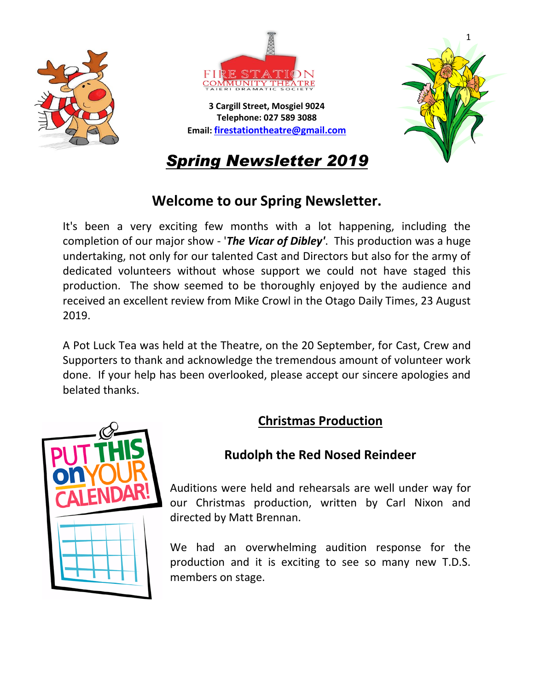



**3 Cargill Street, Mosgiel 9024 Telephone: 027 589 3088 Email: [firestationtheatre@gmail.com](mailto:firestationtheatre@gmail.com)**



*Spring Newsletter 2019*

# **Welcome to our Spring Newsletter.**

It's been a very exciting few months with a lot happening, including the completion of our major show - '*The Vicar of Dibley'*. This production was a huge undertaking, not only for our talented Cast and Directors but also for the army of dedicated volunteers without whose support we could not have staged this production. The show seemed to be thoroughly enjoyed by the audience and received an excellent review from Mike Crowl in the Otago Daily Times, 23 August 2019.

A Pot Luck Tea was held at the Theatre, on the 20 September, for Cast, Crew and Supporters to thank and acknowledge the tremendous amount of volunteer work done. If your help has been overlooked, please accept our sincere apologies and belated thanks.

# **Christmas Production**



# **Rudolph the Red Nosed Reindeer**

Auditions were held and rehearsals are well under way for our Christmas production, written by Carl Nixon and directed by Matt Brennan.

We had an overwhelming audition response for the production and it is exciting to see so many new T.D.S. members on stage.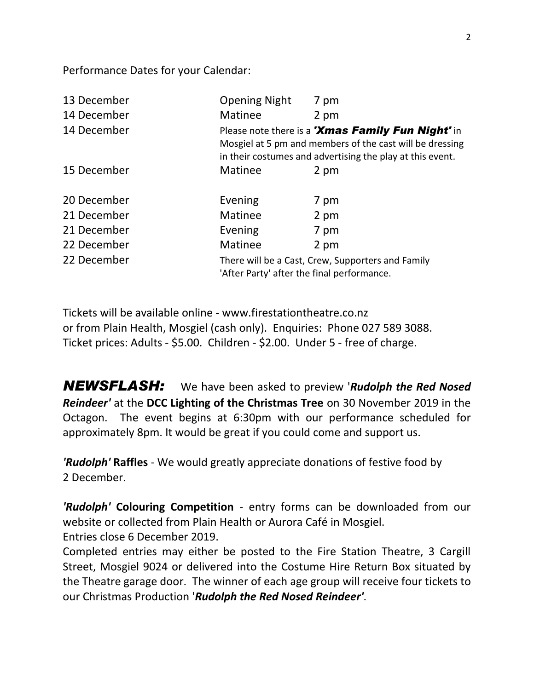Performance Dates for your Calendar:

| 13 December | <b>Opening Night</b>                                                                                                                                                       | 7 pm |
|-------------|----------------------------------------------------------------------------------------------------------------------------------------------------------------------------|------|
| 14 December | Matinee                                                                                                                                                                    | 2 pm |
| 14 December | Please note there is a 'Xmas Family Fun Night' in<br>Mosgiel at 5 pm and members of the cast will be dressing<br>in their costumes and advertising the play at this event. |      |
| 15 December | Matinee                                                                                                                                                                    | 2 pm |
| 20 December | Evening                                                                                                                                                                    | 7 pm |
| 21 December | Matinee                                                                                                                                                                    | 2 pm |
| 21 December | Evening                                                                                                                                                                    | 7 pm |
| 22 December | Matinee                                                                                                                                                                    | 2 pm |
| 22 December | There will be a Cast, Crew, Supporters and Family<br>'After Party' after the final performance.                                                                            |      |

Tickets will be available online - www.firestationtheatre.co.nz or from Plain Health, Mosgiel (cash only). Enquiries: Phone 027 589 3088. Ticket prices: Adults - \$5.00. Children - \$2.00. Under 5 - free of charge.

*NEWSFLASH:*We have been asked to preview '*Rudolph the Red Nosed Reindeer'* at the **DCC Lighting of the Christmas Tree** on 30 November 2019 in the Octagon. The event begins at 6:30pm with our performance scheduled for approximately 8pm. It would be great if you could come and support us.

*'Rudolph'* **Raffles** - We would greatly appreciate donations of festive food by 2 December.

*'Rudolph'* **Colouring Competition** - entry forms can be downloaded from our website or collected from Plain Health or Aurora Café in Mosgiel. Entries close 6 December 2019.

Completed entries may either be posted to the Fire Station Theatre, 3 Cargill Street, Mosgiel 9024 or delivered into the Costume Hire Return Box situated by the Theatre garage door. The winner of each age group will receive four tickets to our Christmas Production '*Rudolph the Red Nosed Reindeer'*.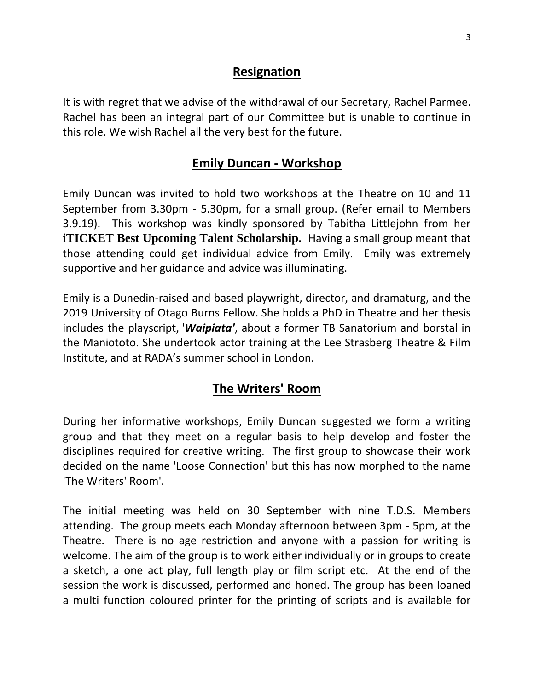#### **Resignation**

It is with regret that we advise of the withdrawal of our Secretary, Rachel Parmee. Rachel has been an integral part of our Committee but is unable to continue in this role. We wish Rachel all the very best for the future.

## **Emily Duncan - Workshop**

Emily Duncan was invited to hold two workshops at the Theatre on 10 and 11 September from 3.30pm - 5.30pm, for a small group. (Refer email to Members 3.9.19). This workshop was kindly sponsored by Tabitha Littlejohn from her **iTICKET Best Upcoming Talent Scholarship.** Having a small group meant that those attending could get individual advice from Emily. Emily was extremely supportive and her guidance and advice was illuminating.

Emily is a Dunedin-raised and based playwright, director, and dramaturg, and the 2019 University of Otago Burns Fellow. She holds a PhD in Theatre and her thesis includes the playscript, '*Waipiata'*, about a former TB Sanatorium and borstal in the Maniototo. She undertook actor training at the Lee Strasberg Theatre & Film Institute, and at RADA's summer school in London.

# **The Writers' Room**

During her informative workshops, Emily Duncan suggested we form a writing group and that they meet on a regular basis to help develop and foster the disciplines required for creative writing. The first group to showcase their work decided on the name 'Loose Connection' but this has now morphed to the name 'The Writers' Room'.

The initial meeting was held on 30 September with nine T.D.S. Members attending. The group meets each Monday afternoon between 3pm - 5pm, at the Theatre. There is no age restriction and anyone with a passion for writing is welcome. The aim of the group is to work either individually or in groups to create a sketch, a one act play, full length play or film script etc. At the end of the session the work is discussed, performed and honed. The group has been loaned a multi function coloured printer for the printing of scripts and is available for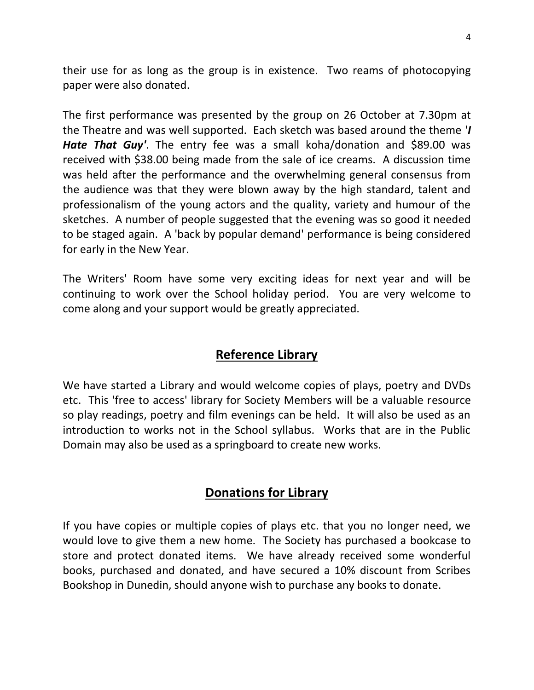their use for as long as the group is in existence. Two reams of photocopying paper were also donated.

The first performance was presented by the group on 26 October at 7.30pm at the Theatre and was well supported. Each sketch was based around the theme '*I Hate That Guy'*. The entry fee was a small koha/donation and \$89.00 was received with \$38.00 being made from the sale of ice creams. A discussion time was held after the performance and the overwhelming general consensus from the audience was that they were blown away by the high standard, talent and professionalism of the young actors and the quality, variety and humour of the sketches. A number of people suggested that the evening was so good it needed to be staged again. A 'back by popular demand' performance is being considered for early in the New Year.

The Writers' Room have some very exciting ideas for next year and will be continuing to work over the School holiday period. You are very welcome to come along and your support would be greatly appreciated.

#### **Reference Library**

We have started a Library and would welcome copies of plays, poetry and DVDs etc. This 'free to access' library for Society Members will be a valuable resource so play readings, poetry and film evenings can be held. It will also be used as an introduction to works not in the School syllabus. Works that are in the Public Domain may also be used as a springboard to create new works.

## **Donations for Library**

If you have copies or multiple copies of plays etc. that you no longer need, we would love to give them a new home. The Society has purchased a bookcase to store and protect donated items. We have already received some wonderful books, purchased and donated, and have secured a 10% discount from Scribes Bookshop in Dunedin, should anyone wish to purchase any books to donate.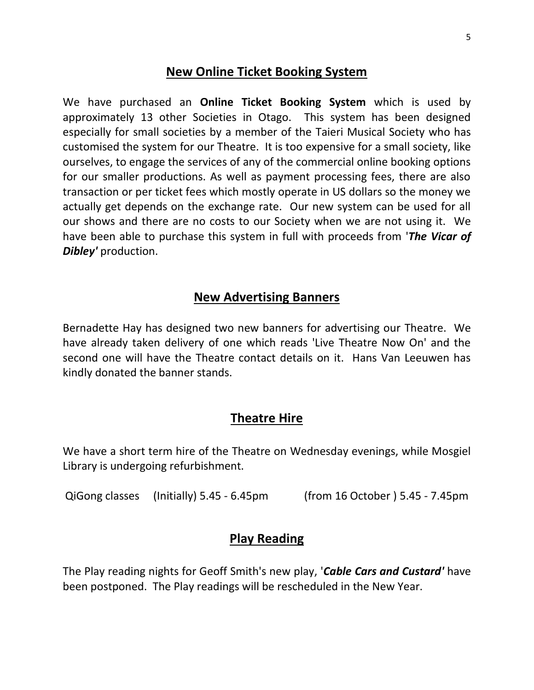#### **New Online Ticket Booking System**

We have purchased an **Online Ticket Booking System** which is used by approximately 13 other Societies in Otago. This system has been designed especially for small societies by a member of the Taieri Musical Society who has customised the system for our Theatre. It is too expensive for a small society, like ourselves, to engage the services of any of the commercial online booking options for our smaller productions. As well as payment processing fees, there are also transaction or per ticket fees which mostly operate in US dollars so the money we actually get depends on the exchange rate. Our new system can be used for all our shows and there are no costs to our Society when we are not using it. We have been able to purchase this system in full with proceeds from '*The Vicar of Dibley'* production.

#### **New Advertising Banners**

Bernadette Hay has designed two new banners for advertising our Theatre. We have already taken delivery of one which reads 'Live Theatre Now On' and the second one will have the Theatre contact details on it. Hans Van Leeuwen has kindly donated the banner stands.

#### **Theatre Hire**

We have a short term hire of the Theatre on Wednesday evenings, while Mosgiel Library is undergoing refurbishment.

QiGong classes (Initially) 5.45 - 6.45pm (from 16 October ) 5.45 - 7.45pm

#### **Play Reading**

The Play reading nights for Geoff Smith's new play, '*Cable Cars and Custard'* have been postponed. The Play readings will be rescheduled in the New Year.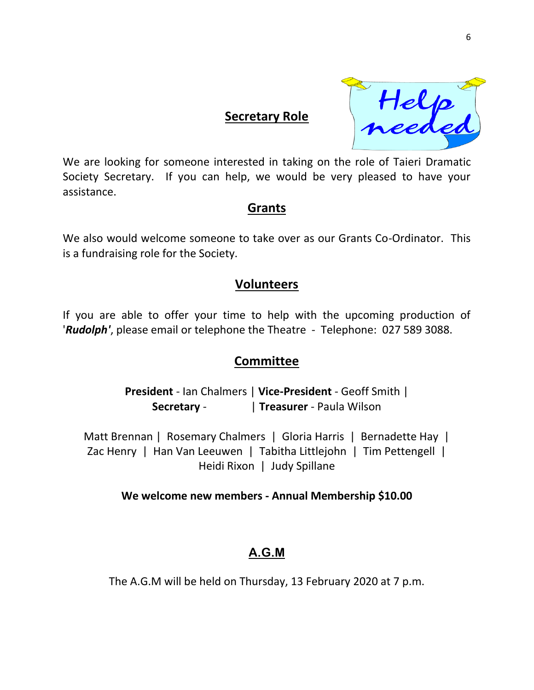![](_page_5_Picture_0.jpeg)

We are looking for someone interested in taking on the role of Taieri Dramatic Society Secretary. If you can help, we would be very pleased to have your assistance.

**Secretary Role**

#### **Grants**

We also would welcome someone to take over as our Grants Co-Ordinator. This is a fundraising role for the Society.

### **Volunteers**

If you are able to offer your time to help with the upcoming production of '*Rudolph'*, please email or telephone the Theatre - Telephone: 027 589 3088.

## **Committee**

**President** - Ian Chalmers | **Vice-President** - Geoff Smith | **Secretary** - | **Treasurer** - Paula Wilson

Matt Brennan | Rosemary Chalmers | Gloria Harris | Bernadette Hay | Zac Henry | Han Van Leeuwen | Tabitha Littlejohn | Tim Pettengell | Heidi Rixon | Judy Spillane

#### **We welcome new members - Annual Membership \$10.00**

## **A.G.M**

The A.G.M will be held on Thursday, 13 February 2020 at 7 p.m.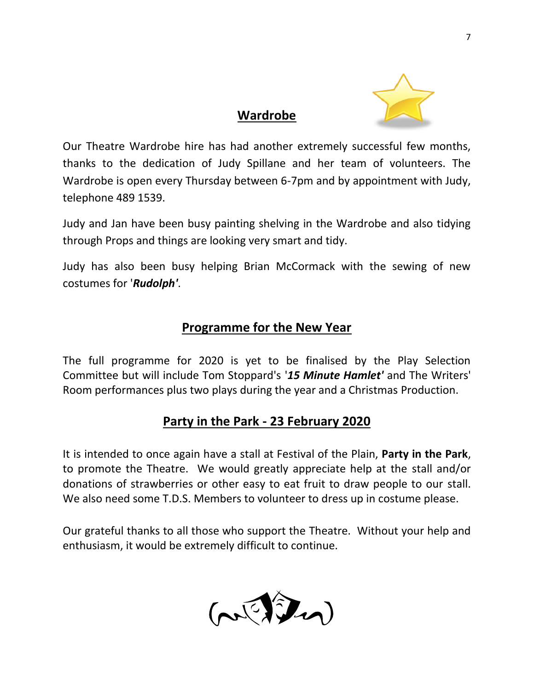![](_page_6_Picture_0.jpeg)

# Our Theatre Wardrobe hire has had another extremely successful few months, thanks to the dedication of Judy Spillane and her team of volunteers. The Wardrobe is open every Thursday between 6-7pm and by appointment with Judy, telephone 489 1539.

**Wardrobe**

Judy and Jan have been busy painting shelving in the Wardrobe and also tidying through Props and things are looking very smart and tidy.

Judy has also been busy helping Brian McCormack with the sewing of new costumes for '*Rudolph'*.

## **Programme for the New Year**

The full programme for 2020 is yet to be finalised by the Play Selection Committee but will include Tom Stoppard's '*15 Minute Hamlet'* and The Writers' Room performances plus two plays during the year and a Christmas Production.

# **Party in the Park - 23 February 2020**

It is intended to once again have a stall at Festival of the Plain, **Party in the Park**, to promote the Theatre. We would greatly appreciate help at the stall and/or donations of strawberries or other easy to eat fruit to draw people to our stall. We also need some T.D.S. Members to volunteer to dress up in costume please.

Our grateful thanks to all those who support the Theatre. Without your help and enthusiasm, it would be extremely difficult to continue.

![](_page_6_Picture_9.jpeg)